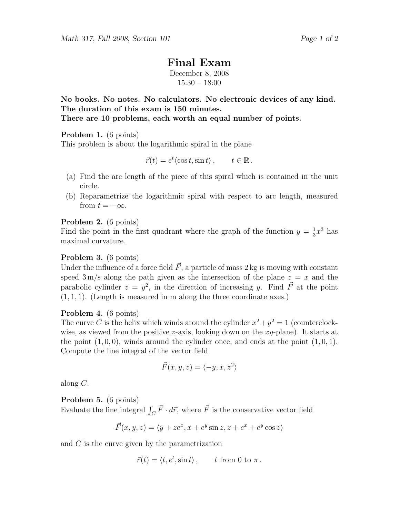# Final Exam

December 8, 2008 15:30 – 18:00

No books. No notes. No calculators. No electronic devices of any kind. The duration of this exam is 150 minutes.

There are 10 problems, each worth an equal number of points.

# Problem 1. (6 points)

This problem is about the logarithmic spiral in the plane

$$
\vec{r}(t) = e^t \langle \cos t, \sin t \rangle, \qquad t \in \mathbb{R}.
$$

- (a) Find the arc length of the piece of this spiral which is contained in the unit circle.
- (b) Reparametrize the logarithmic spiral with respect to arc length, measured from  $t = -\infty$ .

# Problem 2. (6 points)

Find the point in the first quadrant where the graph of the function  $y = \frac{1}{3}$  $\frac{1}{3}x^3$  has maximal curvature.

## Problem 3. (6 points)

Under the influence of a force field  $\vec{F}$ , a particle of mass 2 kg is moving with constant speed  $3 \text{ m/s}$  along the path given as the intersection of the plane  $z = x$  and the parabolic cylinder  $z = y^2$ , in the direction of increasing y. Find  $\vec{F}$  at the point  $(1, 1, 1)$ . (Length is measured in m along the three coordinate axes.)

# Problem 4. (6 points)

The curve C is the helix which winds around the cylinder  $x^2 + y^2 = 1$  (counterclockwise, as viewed from the positive z-axis, looking down on the  $xy$ -plane). It starts at the point  $(1, 0, 0)$ , winds around the cylinder once, and ends at the point  $(1, 0, 1)$ . Compute the line integral of the vector field

$$
\vec{F}(x, y, z) = \langle -y, x, z^2 \rangle
$$

along C.

Problem 5. (6 points)

Evaluate the line integral  $\int_C \vec{F} \cdot d\vec{r}$ , where  $\vec{F}$  is the conservative vector field

$$
\vec{F}(x, y, z) = \langle y + ze^x, x + e^y \sin z, z + e^x + e^y \cos z \rangle
$$

and C is the curve given by the parametrization

$$
\vec{r}(t) = \langle t, e^t, \sin t \rangle, \quad t \text{ from 0 to } \pi.
$$